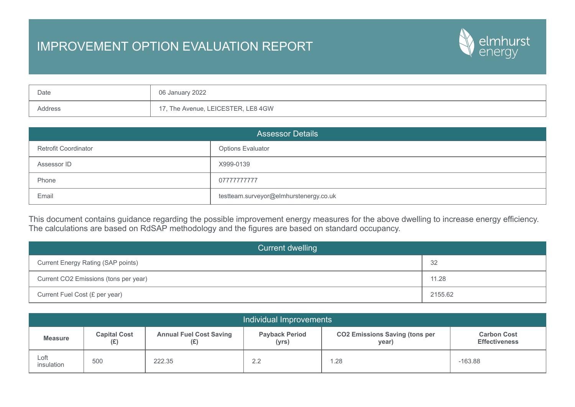## IMPROVEMENT OPTION EVALUATION REPORT



| Date    | 06 January 2022                  |
|---------|----------------------------------|
| Address | , The Avenue, LEICESTER, LE8 4GW |

| <b>Assessor Details</b>     |                                        |  |  |  |  |
|-----------------------------|----------------------------------------|--|--|--|--|
| <b>Retrofit Coordinator</b> | <b>Options Evaluator</b>               |  |  |  |  |
| Assessor ID                 | X999-0139                              |  |  |  |  |
| Phone                       | 07777777777                            |  |  |  |  |
| Email                       | testteam.surveyor@elmhurstenergy.co.uk |  |  |  |  |

This document contains guidance regarding the possible improvement energy measures for the above dwelling to increase energy efficiency. The calculations are based on RdSAP methodology and the figures are based on standard occupancy.

| Current dwelling                      |         |  |  |
|---------------------------------------|---------|--|--|
| Current Energy Rating (SAP points)    | -32     |  |  |
| Current CO2 Emissions (tons per year) | 11.28   |  |  |
| Current Fuel Cost (£ per year)        | 2155.62 |  |  |

| Individual Improvements |                                                                     |        |                                                                                  |      |                                            |  |  |
|-------------------------|---------------------------------------------------------------------|--------|----------------------------------------------------------------------------------|------|--------------------------------------------|--|--|
| <b>Measure</b>          | <b>Capital Cost</b><br><b>Annual Fuel Cost Saving</b><br>(E)<br>(£) |        | <b>CO2 Emissions Saving (tons per</b><br><b>Payback Period</b><br>(yrs)<br>year) |      | <b>Carbon Cost</b><br><b>Effectiveness</b> |  |  |
| Loft<br>insulation      | 500                                                                 | 222.35 | 2.2                                                                              | 1.28 | $-163.88$                                  |  |  |